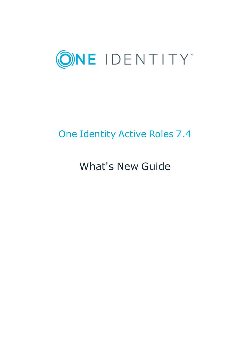

# One Identity Active Roles 7.4

What's New Guide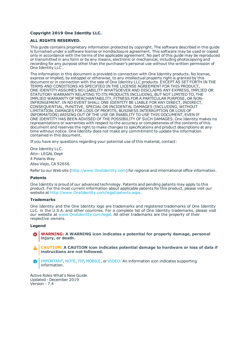#### **Copyright 2019 One Identity LLC.**

#### **ALL RIGHTS RESERVED.**

This guide contains proprietary information protected by copyright. The software described in this guide is furnished under a software license or nondisclosure agreement. This software may be used or copied only in accordance with the terms of the applicable agreement. No part of this guide may be reproduced or transmitted in any form or by any means, electronic or mechanical, including photocopying and recording for any purpose other than the purchaser's personal use without the written permission of One Identity LLC .

The information in this document is provided in connection with One Identity products. No license, express or implied, by estoppel or otherwise, to any intellectual property right is granted by this document or in connection with the sale of One Identity LLC products. EXCEPT AS SET FORTH IN THE TERMS AND CONDITIONS AS SPECIFIED IN THE LICENSE AGREEMENT FOR THIS PRODUCT, ONE IDENTITY ASSUMES NO LIABILITY WHATSOEVER AND DISCLAIMS ANY EXPRESS, IMPLIED OR STATUTORY WARRANTY RELATING TO ITS PRODUCTS INCLUDING, BUT NOT LIMITED TO, THE IMPLIED WARRANTY OF MERCHANTABILITY, FITNESS FOR A PARTICULAR PURPOSE, OR NON-INFRINGEMENT. IN NO EVENT SHALL ONE IDENTITY BE LIABLE FOR ANY DIRECT, INDIRECT, CONSEQUENTIAL, PUNITIVE, SPECIAL OR INCIDENTAL DAMAGES (INCLUDING, WITHOUT LIMITATION, DAMAGES FOR LOSS OF PROFITS, BUSINESS INTERRUPTION OR LOSS OF INFORMATION) ARISING OUT OF THE USE OR INABILITY TO USE THIS DOCUMENT, EVEN IF ONE IDENTITY HAS BEEN ADVISED OF THE POSSIBILITY OF SUCH DAMAGES. One Identity makes no representations or warranties with respect to the accuracy or completeness of the contents of this document and reserves the right to make changes to specifications and product descriptions at any time without notice. One Identity does not make any commitment to update the information contained in this document.

If you have any questions regarding your potential use of this material, contact:

One Identity LLC. Attn: LEGAL Dept 4 Polaris Way Aliso Viejo, CA 92656

Refer to our Web site ([http://www.OneIdentity.com](http://www.oneidentity.com/)) for regional and international office information.

#### **Patents**

One Identity is proud of our advanced technology. Patents and pending patents may apply to this product. For the most current information about applicable patents for this product, please visit our website at [http://www.OneIdentity.com/legal/patents.aspx](http://www.oneidentity.com/legal/patents.aspx).

#### **Trademarks**

One Identity and the One Identity logo are trademarks and registered trademarks of One Identity LLC. in the U.S.A. and other countries. For a complete list of One Identity trademarks, please visit our website at [www.OneIdentity.com/legal](http://www.oneidentity.com/legal). All other trademarks are the property of their respective owners.

#### **Legend**

- **WARNING: A WARNING icon indicates a potential for property damage, personal injury, or death.**
- **CAUTION: A CAUTION icon indicates potential damage to hardware or loss of data if instructions are not followed.**
- IMPORTANT, NOTE, TIP, MOBILE, or VIDEO: An information icon indicates supporting Œ information.

Active Roles What's New Guide Updated - December 2019 Version - 7.4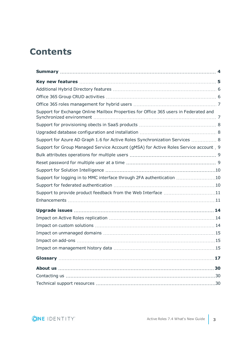## **Contents**

| Support for Exchange Online Mailbox Properties for Office 365 users in Federated and  |  |
|---------------------------------------------------------------------------------------|--|
|                                                                                       |  |
|                                                                                       |  |
| Support for Azure AD Graph 1.6 for Active Roles Synchronization Services  8           |  |
| Support for Group Managed Service Account (gMSA) for Active Roles Service account . 9 |  |
|                                                                                       |  |
|                                                                                       |  |
|                                                                                       |  |
| Support for logging in to MMC interface through 2FA authentication 10                 |  |
|                                                                                       |  |
| Support to provide product feedback from the Web Interface 11                         |  |
|                                                                                       |  |
|                                                                                       |  |
|                                                                                       |  |
|                                                                                       |  |
|                                                                                       |  |
|                                                                                       |  |
|                                                                                       |  |
|                                                                                       |  |
|                                                                                       |  |
|                                                                                       |  |
|                                                                                       |  |

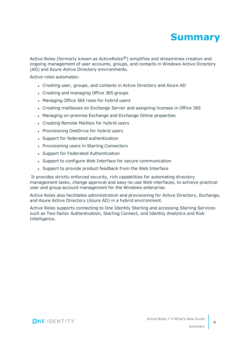

<span id="page-3-0"></span>Active Roles (formerly known as ActiveRoles<sup>®</sup>) simplifies and streamlines creation and ongoing management of user accounts, groups, and contacts in Windows Active Directory (AD) and Azure Active Directory environments.

Active roles automates:

- Creating user, groups, and contacts in Active Directory and Azure AD
- Creating and managing Office 365 groups
- Managing Office 365 roles for hybrid users
- Creating mailboxes on Exchange Server and assigning licenses in Office 365
- Managing on-premise Exchange and Exchange Online properties
- Creating Remote Mailbox for hybrid users
- Provisioning OneDrive for hybrid users
- Support for federated authentication
- Provisioning users in Starling Connectors
- Support for Federated Authentication
- Support to configure Web Interface for secure communication
- Support to provide product feedback from the Web Interface

It provides strictly enforced security, rich capabilities for automating directory management tasks, change approval and easy-to-use Web interfaces, to achieve practical user and group account management for the Windows enterprise.

Active Roles also facilitates administration and provisioning for Active Directory, Exchange, and Azure Active Directory (Azure AD) in a hybrid environment.

Active Roles supports connecting to One Identity Starling and accessing Starling Services such as Two-factor Authentication, Starling Connect, and Identity Analytics and Risk Intelligence.

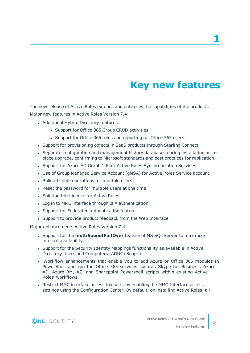# **Key new features**

<span id="page-4-0"></span>The new release of Active Roles extends and enhances the capabilities of the product . Major new features in Active Roles Version 7.4:

- Additional Hybrid Directory features:
	- Support for Office 365 Group CRUD activities.
	- Support for Office 365 roles and reporting for Office 365 users.
- Support for provisioning objects in SaaS products through Starling Connect.
- Separate configuration and management history databases during installation or inplace upgrade, confirming to Microsoft standards and best practices for replication.
- Support for Azure AD Graph 1.6 for Active Roles Synchronization Services.
- Use of Group Managed Service Account (gMSA) for Active Roles Service account.
- Bulk attribute operations for multiple users.
- Reset the password for multiple users at one time.
- Solution Intelligence for Active Roles.
- Log in to MMC interface through 2FA authentication.
- Support for Federated authentication feature.
- Support to provide product feedback from the Web Interface

Major enhancements Active Roles Version 7.4:

- **.** Support for the **multiSubnetFailOver** feature of MS SQL Server to maximize internal availability.
- Support for the Security Identity Mappings functionality as available in Active Directory Users and Computers (ADUC) Snap-in.
- Workflow enhancements that enable you to add Azure or Office 365 modules in PowerShell and run the Office 365 services such as Skype for Business, Azure AD, Azure RM, AZ, and Sharepoint Powershell scripts within existing Active Roles workflows.
- Restrict MMC interface access to users, by enabling the MMC Interface access settings using the Configuration Center. By default, on installing Active Roles, all

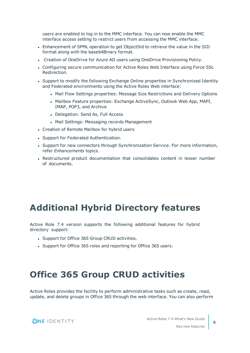users are enabled to log in to the MMC interface. You can now enable the MMC interface access setting to restrict users from accessing the MMC interface.

- <sup>l</sup> Enhancement of SPML operation to get ObjectSid to retrieve the value in the SID format along with the base64Binary format.
- Creation of OneDrive for Azure AD users using OneDrive Provisioning Policy.
- Configuring secure communication for Active Roles Web Interface using Force SSL Redirection.
- Support to modify the following Exchange Online properties in Synchronized Identity and Federated environments using the Active Roles Web interface:
	- Mail Flow Settings properties: Message Size Restrictions and Delivery Options
	- Mailbox Feature properties: Exchange ActiveSync, Outlook Web App, MAPI, IMAP, POP3, and Archive
	- Delegation: Send As, Full Access
	- Mail Settings: Messaging records Management
- Creation of Remote Mailbox for hybrid users
- Support for Federated Authentication.
- Support for new connectors through Synchronization Service. For more information, refer *Enhancements* topics.
- Restructured product documentation that consolidates content in lesser number of documents.

### <span id="page-5-0"></span>**Additional Hybrid Directory features**

Active Role 7.4 version supports the following additional features for hybrid directory support:

- Support for Office 365 Group CRUD activities.
- Support for Office 365 roles and reporting for Office 365 users.

### <span id="page-5-1"></span>**Office 365 Group CRUD activities**

Active Roles provides the facility to perform administrative tasks such as create, read, update, and delete groups in Office 365 through the web interface. You can also perform

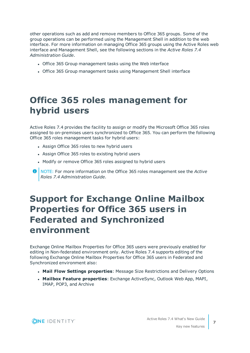other operations such as add and remove members to Office 365 groups. Some of the group operations can be performed using the Management Shell in addition to the web interface. For more information on managing Office 365 groups using the Active Roles web interface and Management Shell, see the following sections in the *Active Roles 7.4 Administration Guide*.

- Office 365 Group management tasks using the Web interface
- Office 365 Group management tasks using Management Shell interface

## <span id="page-6-0"></span>**Office 365 roles management for hybrid users**

Active Roles 7.4 provides the facility to assign or modify the Microsoft Office 365 roles assigned to on-premises users synchronized to Office 365. You can perform the following Office 365 roles management tasks for hybrid users:

- Assign Office 365 roles to new hybrid users
- Assign Office 365 roles to existing hybrid users
- Modify or remove Office 365 roles assigned to hybrid users
- **O** NOTE: For more information on the Office 365 roles management see the *Active Roles 7.4 Administration Guide*.

## <span id="page-6-1"></span>**Support for Exchange Online Mailbox Properties for Office 365 users in Federated and Synchronized environment**

Exchange Online Mailbox Properties for Office 365 users were previously enabled for editing in Non-federated environment only. Active Roles 7.4 supports editing of the following Exchange Online Mailbox Properties for Office 365 users in Federated and Synchronized environment also:

- <sup>l</sup> **Mail Flow Settings properties**: Message Size Restrictions and Delivery Options
- <sup>l</sup> **Mailbox Feature properties**: Exchange ActiveSync, Outlook Web App, MAPI, IMAP, POP3, and Archive

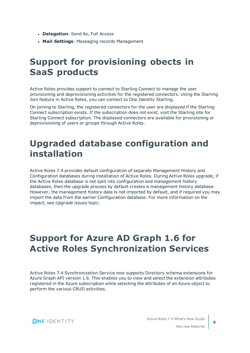- **· Delegation**: Send As, Full Access
- <span id="page-7-0"></span>**• Mail Settings: Messaging records Management**

## **Support for provisioning obects in SaaS products**

Active Roles provides support to connect to Starling Connect to manage the user provisioning and deprovisioning activities for the registered connectors. Using the Starling Join feature in Active Roles, you can connect to One Identity Starling.

On joining to Starling, the registered connectors for the user are displayed if the Starling Connect subscription exists. If the subscription does not exist, visit the Starling site for Starling Connect subscription. The displayed connectors are available for provisioning or deprovisioning of users or groups through Active Roles.

## <span id="page-7-1"></span>**Upgraded database configuration and installation**

Active Roles 7.4 provides default configuration of separate Management History and Configuration databases during installation of Active Roles. During Active Roles upgrade, if the Active Roles database is not split into configuration and management history databases, then the upgrade process by default creates a management history database. However, the management history data is not imported by default, and if required you may import the data from the earlier Configuration database. For more information on the impact, see *Upgrade issues* topic.

## <span id="page-7-2"></span>**Support for Azure AD Graph 1.6 for Active Roles Synchronization Services**

Active Roles 7.4 Synchronization Service now supports Directory schema extensions for Azure Graph API version 1.6. This enables you to view and select the extension attributes registered in the Azure subscription while selecting the attributes of an Azure object to perform the various CRUD activities.

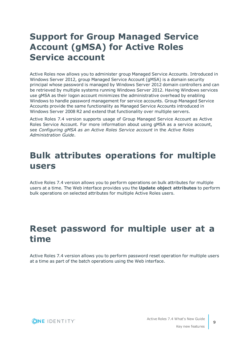## <span id="page-8-0"></span>**Support for Group Managed Service Account (gMSA) for Active Roles Service account**

Active Roles now allows you to administer group Managed Service Accounts. Introduced in Windows Server 2012, group Managed Service Account (gMSA) is a domain security principal whose password is managed by Windows Server 2012 domain controllers and can be retrieved by multiple systems running Windows Server 2012. Having Windows services use gMSA as their logon account minimizes the administrative overhead by enabling Windows to handle password management for service accounts. Group Managed Service Accounts provide the same functionality as Managed Service Accounts introduced in Windows Server 2008 R2 and extend that functionality over multiple servers.

Active Roles 7.4 version supports usage of Group Managed Service Account as Active Roles Service Account. For more information about using gMSA as a service account, see *Configuring gMSA as an Active Roles Service account* in the *Active Roles Administration Guide*.

## <span id="page-8-1"></span>**Bulk attributes operations for multiple users**

Active Roles 7.4 version allows you to perform operations on bulk attributes for multiple users at a time. The Web interface provides you the **Update object attributes** to perform bulk operations on selected attributes for multiple Active Roles users.

## <span id="page-8-2"></span>**Reset password for multiple user at a time**

Active Roles 7.4 version allows you to perform password reset operation for multiple users at a time as part of the batch operations using the Web interface.

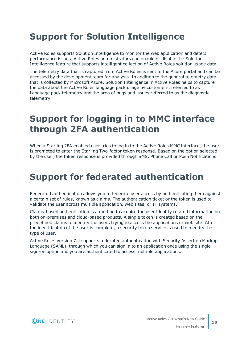## <span id="page-9-0"></span>**Support for Solution Intelligence**

Active Roles supports Solution Intelligence to monitor the web application and detect performance issues. Active Roles administrators can enable or disable the Solution Intelligence feature that supports intelligent collection of Active Roles solution usage data.

The telemetry data that is captured from Active Roles is sent to the Azure portal and can be accessed by the development team for analysis. In addition to the general telemetry data that is collected by Microsoft Azure, Solution Intelligence in Active Roles helps to capture the data about the Active Roles language pack usage by customers, referred to as Language pack telemetry and the area of bugs and issues referred to as the diagnostic telemetry.

## <span id="page-9-1"></span>**Support for logging in to MMC interface through 2FA authentication**

When a Starling 2FA enabled user tries to log in to the Active Roles MMC interface, the user is prompted to enter the Starling Two-factor token response. Based on the option selected by the user, the token response is provided through SMS, Phone Call or Push Notifications.

## <span id="page-9-2"></span>**Support for federated authentication**

Federated authentication allows you to federate user access by authenticating them against a certain set of rules, known as claims. The authentication ticket or the token is used to validate the user across multiple application, web sites, or IT systems.

Claims-based authentication is a method to acquire the user identity related information on both on-premises and cloud-based products. A single token is created based on the predefined claims to identify the users trying to access the applications or web site. After the identification of the user is complete, a security token service is used to identify the type of user.

Active Roles version 7.4 supports federated authentication with Security Assertion Markup Language (SAML), through which you can sign in to an application once using the single sign-on option and you are authenticated to access multiple applications.

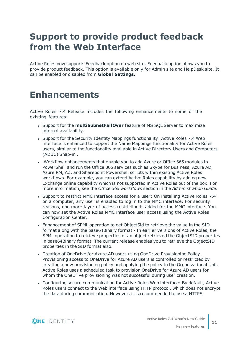## <span id="page-10-0"></span>**Support to provide product feedback from the Web Interface**

Active Roles now supports Feedback option on web site. Feedback option allows you to provide product feedback. This option is available only for Admin site and HelpDesk site. It can be enabled or disabled from **Global Settings**.

## <span id="page-10-1"></span>**Enhancements**

Active Roles 7.4 Release includes the following enhancements to some of the existing features:

- **.** Support for the **multiSubnetFailOver** feature of MS SQL Server to maximize internal availability.
- Support for the Security Identity Mappings functionality: Active Roles 7.4 Web interface is enhanced to support the Name Mappings functionality for Active Roles users, similar to the functionality available in Active Directory Users and Computers (ADUC) Snap-in .
- Workflow enhancements that enable you to add Azure or Office 365 modules in PowerShell and run the Office 365 services such as Skype for Business, Azure AD, Azure RM, AZ, and Sharepoint Powershell scripts within existing Active Roles workflows. For example, you can extend Active Roles capability by adding new Exchange online capability which is not supported in Active Roles out of the box. For more information, see the *Office 365 workflows* section in the *Administration Guide*.
- Support to restrict MMC interface access for a user: On installing Active Roles 7.4 on a computer, any user is enabled to log in to the MMC interface. For security reasons, one more layer of access restriction is added for the MMC interface. You can now set the Active Roles MMC interface user access using the Active Roles Configuration Center.
- <sup>l</sup> Enhancement of SPML operation to get ObjectSid to retrieve the value in the SID format along with the base64Binary format - In earlier versions of Active Roles, the SPML operation to retrieve properties of an object retrieved the ObjectSID properties in base64Binary format. The current release enables you to retrieve the ObjectSID properties in the SID format also.
- Creation of OneDrive for Azure AD users using OneDrive Provisioning Policy. Provisioning access to OneDrive for Azure AD users is controlled or restricted by creating a new provisioning policy and applying the policy to the Organizational Unit. Active Roles uses a scheduled task to provision OneDrive for Azure AD users for whom the OneDrive provisioning was not successful during user creation.
- Configuring secure communication for Active Roles Web interface: By default, Active Roles users connect to the Web interface using HTTP protocol, which does not encrypt the data during communication. However, it is recommended to use a HTTPS

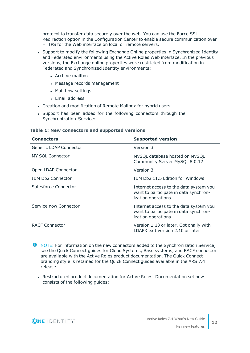protocol to transfer data securely over the web. You can use the Force SSL Redirection option in the Configuration Center to enable secure communication over HTTPS for the Web interface on local or remote servers.

- Support to modify the following Exchange Online properties in Synchronized Identity and Federated environments using the Active Roles Web interface. In the previous versions, the Exchange online properties were restricted from modification in Federated and Synchronized Identity environments:
	- Archive mailbox
	- Message records management
	- Mail flow settings
	- Email address
- Creation and modification of Remote Mailbox for hybrid users
- Support has been added for the following connectors through the Synchronization Service:

#### **Table 1: New connectors and supported versions**

| <b>Connectors</b>        | <b>Supported version</b>                                                                              |
|--------------------------|-------------------------------------------------------------------------------------------------------|
| Generic LDAP Connector   | Version 3                                                                                             |
| MY SQL Connector         | MySQL database hosted on MySQL<br>Community Server MySQL 8.0.12                                       |
| Open LDAP Connector      | Version 3                                                                                             |
| <b>IBM Db2 Connector</b> | IBM Db2 11.5 Edition for Windows                                                                      |
| Salesforce Connector     | Internet access to the data system you<br>want to participate in data synchron-<br>ization operations |
| Service now Connector    | Internet access to the data system you<br>want to participate in data synchron-<br>ization operations |
| <b>RACF Connector</b>    | Version 1.13 or later. Optionally with<br>LDAPX exit version 2.10 or later                            |

- **O** NOTE: For information on the new connectors added to the Synchronization Service, see the Quick Connect guides for Cloud Systems, Base systems, and RACF connector are available with the Active Roles product documentation. The Quick Connect branding style is retained for the Quick Connect guides available in the ARS 7.4 release.
	- Restructured product documentation for Active Roles. Documentation set now consists of the following guides:

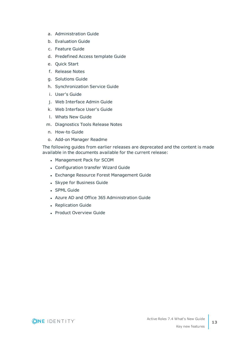- a. Administration Guide
- b. Evaluation Guide
- c. Feature Guide
- d. Predefined Access template Guide
- e. Quick Start
- f. Release Notes
- g. Solutions Guide
- h. Synchronization Service Guide
- i. User's Guide
- j. Web Interface Admin Guide
- k. Web Interface User's Guide
- l. Whats New Guide
- m. Diagnostics Tools Release Notes
- n. How-to Guide
- o. Add-on Manager Readme

The following guides from earlier releases are deprecated and the content is made available in the documents available for the current release:

- Management Pack for SCOM
- Configuration transfer Wizard Guide
- Exchange Resource Forest Management Guide
- Skype for Business Guide
- SPML Guide
- Azure AD and Office 365 Administration Guide
- Replication Guide
- Product Overview Guide

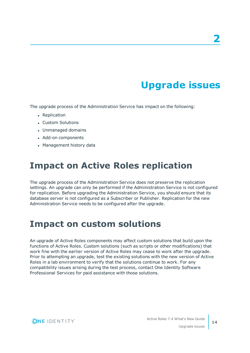# **Upgrade issues**

<span id="page-13-0"></span>The upgrade process of the Administration Service has impact on the following:

- Replication
- Custom Solutions
- Unmanaged domains
- Add-on components
- Management history data

### <span id="page-13-1"></span>**Impact on Active Roles replication**

The upgrade process of the Administration Service does not preserve the replication settings. An upgrade can only be performed if the Administration Service is not configured for replication. Before upgrading the Administration Service, you should ensure that its database server is not configured as a Subscriber or Publisher. Replication for the new Administration Service needs to be configured after the upgrade.

### <span id="page-13-2"></span>**Impact on custom solutions**

An upgrade of Active Roles components may affect custom solutions that build upon the functions of Active Roles. Custom solutions (such as scripts or other modifications) that work fine with the earlier version of Active Roles may cease to work after the upgrade. Prior to attempting an upgrade, test the existing solutions with the new version of Active Roles in a lab environment to verify that the solutions continue to work. For any compatibility issues arising during the test process, contact One Identity Software Professional Services for paid assistance with those solutions.

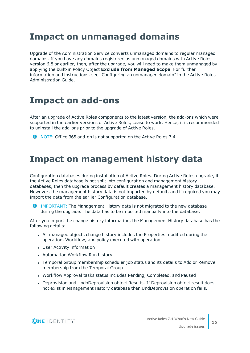## <span id="page-14-0"></span>**Impact on unmanaged domains**

Upgrade of the Administration Service converts unmanaged domains to regular managed domains. If you have any domains registered as unmanaged domains with Active Roles version 6.8 or earlier, then, after the upgrade, you will need to make them unmanaged by applying the built-in Policy Object **Exclude from Managed Scope**. For further information and instructions, see "Configuring an unmanaged domain" in the Active Roles Administration Guide.

## <span id="page-14-1"></span>**Impact on add-ons**

After an upgrade of Active Roles components to the latest version, the add-ons which were supported in the earlier versions of Active Roles, cease to work. Hence, it is recommended to uninstall the add-ons prior to the upgrade of Active Roles.

<span id="page-14-2"></span>

### **Impact on management history data**

Configuration databases during installation of Active Roles. During Active Roles upgrade, if the Active Roles database is not split into configuration and management history databases, then the upgrade process by default creates a management history database. However, the management history data is not imported by default, and if required you may import the data from the earlier Configuration database.

 $\bullet$ IMPORTANT: The Management History data is not migrated to the new database during the upgrade. The data has to be imported manually into the database.

After you import the change history information, the Management History database has the following details:

- All managed objects change history includes the Properties modified during the operation, Workflow, and policy executed with operation
- User Activity information
- Automation Workflow Run history
- Temporal Group membership scheduler job status and its details to Add or Remove membership from the Temporal Group
- Workflow Approval tasks status includes Pending, Completed, and Paused
- Deprovision and UndoDeprovision object Results. If Deprovision object result does not exist in Management History database then UndDeprovision operation fails.

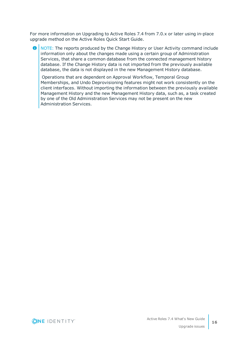For more information on Upgrading to Active Roles 7.4 from 7.0.x or later using in-place upgrade method on the Active Roles Quick Start Guide.

**O** NOTE: The reports produced by the Change History or User Activity command include information only about the changes made using a certain group of Administration Services, that share a common database from the connected management history database. If the Change History data is not imported from the previously available database, the data is not displayed in the new Management History database.

Operations that are dependent on Approval Workflow, Temporal Group Memberships, and Undo Deprovisioning features might not work consistently on the client interfaces. Without importing the information between the previously available Management History and the new Management History data, such as, a task created by one of the Old Administration Services may not be present on the new Administration Services.

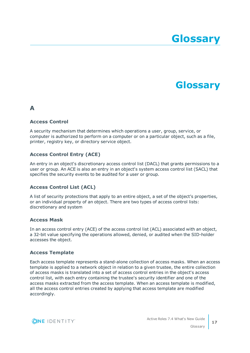# **Glossary**

## **Glossary**

### <span id="page-16-0"></span>**A**

#### **Access Control**

A security mechanism that determines which operations a user, group, service, or computer is authorized to perform on a computer or on a particular object, such as a file, printer, registry key, or directory service object.

#### **Access Control Entry (ACE)**

An entry in an object's discretionary access control list (DACL) that grants permissions to a user or group. An ACE is also an entry in an object's system access control list (SACL) that specifies the security events to be audited for a user or group.

### **Access Control List (ACL)**

A list of security protections that apply to an entire object, a set of the object's properties, or an individual property of an object. There are two types of access control lists: discretionary and system

#### **Access Mask**

In an access control entry (ACE) of the access control list (ACL) associated with an object, a 32-bit value specifying the operations allowed, denied, or audited when the SID-holder accesses the object.

#### **Access Template**

Each access template represents a stand-alone collection of access masks. When an access template is applied to a network object in relation to a given trustee, the entire collection of access masks is translated into a set of access control entries in the object's access control list, with each entry containing the trustee's security identifier and one of the access masks extracted from the access template. When an access template is modified, all the access control entries created by applying that access template are modified accordingly.

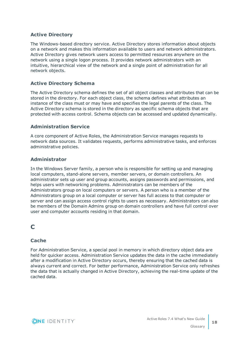#### **Active Directory**

The Windows-based directory service. Active Directory stores information about objects on a network and makes this information available to users and network administrators. Active Directory gives network users access to permitted resources anywhere on the network using a single logon process. It provides network administrators with an intuitive, hierarchical view of the network and a single point of administration for all network objects.

#### **Active Directory Schema**

The Active Directory schema defines the set of all object classes and attributes that can be stored in the directory. For each object class, the schema defines what attributes an instance of the class must or may have and specifies the legal parents of the class. The Active Directory schema is stored in the directory as specific schema objects that are protected with access control. Schema objects can be accessed and updated dynamically.

#### **Administration Service**

A core component of Active Roles, the Administration Service manages requests to network data sources. It validates requests, performs administrative tasks, and enforces administrative policies.

#### **Administrator**

In the Windows Server family, a person who is responsible for setting up and managing local computers, stand-alone servers, member servers, or domain controllers. An administrator sets up user and group accounts, assigns passwords and permissions, and helps users with networking problems. Administrators can be members of the Administrators group on local computers or servers. A person who is a member of the Administrators group on a local computer or server has full access to that computer or server and can assign access control rights to users as necessary. Administrators can also be members of the Domain Admins group on domain controllers and have full control over user and computer accounts residing in that domain.

### **C**

#### **Cache**

For Administration Service, a special pool in memory in which directory object data are held for quicker access. Administration Service updates the data in the cache immediately after a modification in Active Directory occurs, thereby ensuring that the cached data is always current and correct. For better performance, Administration Service only refreshes the data that is actually changed in Active Directory, achieving the real-time update of the cached data.

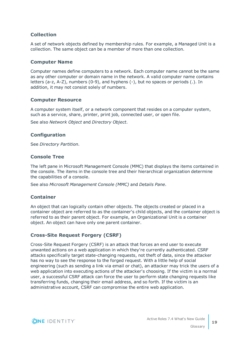#### **Collection**

A set of network objects defined by membership rules. For example, a Managed Unit is a collection. The same object can be a member of more than one collection.

#### **Computer Name**

Computer names define computers to a network. Each computer name cannot be the same as any other computer or domain name in the network. A valid computer name contains letters (a-z, A-Z), numbers (0-9), and hyphens (-), but no spaces or periods (.). In addition, it may not consist solely of numbers.

#### **Computer Resource**

A computer system itself, or a network component that resides on a computer system, such as a service, share, printer, print job, connected user, or open file.

See also *Network Object* and *Directory Object*.

#### **Configuration**

See *Directory Partition*.

#### **Console Tree**

The left pane in Microsoft Management Console (MMC) that displays the items contained in the console. The items in the console tree and their hierarchical organization determine the capabilities of a console.

See also *Microsoft Management Console (MMC)* and *Details Pane*.

#### **Container**

An object that can logically contain other objects. The objects created or placed in a container object are referred to as the container's child objects, and the container object is referred to as their parent object. For example, an Organizational Unit is a container object. An object can have only one parent container.

#### **Cross-Site Request Forgery (CSRF)**

Cross-Site Request Forgery (CSRF) is an attack that forces an end user to execute unwanted actions on a web application in which they're currently authenticated. CSRF attacks specifically target state-changing requests, not theft of data, since the attacker has no way to see the response to the forged request. With a little help of social engineering (such as sending a link via email or chat), an attacker may trick the users of a web application into executing actions of the attacker's choosing. If the victim is a normal user, a successful CSRF attack can force the user to perform state changing requests like transferring funds, changing their email address, and so forth. If the victim is an administrative account, CSRF can compromise the entire web application.

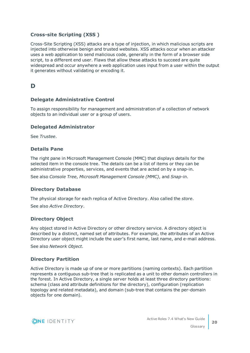#### **Cross-site Scripting (XSS )**

Cross-Site Scripting (XSS) attacks are a type of injection, in which malicious scripts are injected into otherwise benign and trusted websites. XSS attacks occur when an attacker uses a web application to send malicious code, generally in the form of a browser side script, to a different end user. Flaws that allow these attacks to succeed are quite widespread and occur anywhere a web application uses input from a user within the output it generates without validating or encoding it.

### **D**

#### **Delegate Administrative Control**

To assign responsibility for management and administration of a collection of network objects to an individual user or a group of users.

#### **Delegated Administrator**

See *Trustee*.

#### **Details Pane**

The right pane in Microsoft Management Console (MMC) that displays details for the selected item in the console tree. The details can be a list of items or they can be administrative properties, services, and events that are acted on by a snap-in.

See also *Console Tree*, *Microsoft Management Console (MMC)*, and *Snap-in*.

#### **Directory Database**

The physical storage for each replica of Active Directory. Also called the *store*.

See also *Active Directory*.

#### **Directory Object**

Any object stored in Active Directory or other directory service. A directory object is described by a distinct, named set of attributes. For example, the attributes of an Active Directory user object might include the user's first name, last name, and e-mail address.

See also *Network Object*.

#### **Directory Partition**

Active Directory is made up of one or more partitions (naming contexts). Each partition represents a contiguous sub-tree that is replicated as a unit to other domain controllers in the forest. In Active Directory, a single server holds at least three directory partitions: schema (class and attribute definitions for the directory), configuration (replication topology and related metadata), and domain (sub-tree that contains the per-domain objects for one domain).

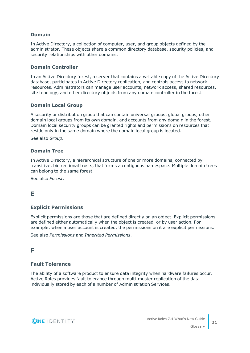#### **Domain**

In Active Directory, a collection of computer, user, and group objects defined by the administrator. These objects share a common directory database, security policies, and security relationships with other domains.

#### **Domain Controller**

In an Active Directory forest, a server that contains a writable copy of the Active Directory database, participates in Active Directory replication, and controls access to network resources. Administrators can manage user accounts, network access, shared resources, site topology, and other directory objects from any domain controller in the forest.

#### **Domain Local Group**

A security or distribution group that can contain universal groups, global groups, other domain local groups from its own domain, and accounts from any domain in the forest. Domain local security groups can be granted rights and permissions on resources that reside only in the same domain where the domain local group is located.

See also *Group*.

#### **Domain Tree**

In Active Directory, a hierarchical structure of one or more domains, connected by transitive, bidirectional trusts, that forms a contiguous namespace. Multiple domain trees can belong to the same forest.

See also *Forest*.

### **E**

#### **Explicit Permissions**

Explicit permissions are those that are defined directly on an object. Explicit permissions are defined either automatically when the object is created, or by user action. For example, when a user account is created, the permissions on it are explicit permissions.

See also *Permissions* and *Inherited Permissions*.

### **F**

#### **Fault Tolerance**

The ability of a software product to ensure data integrity when hardware failures occur. Active Roles provides fault tolerance through multi-muster replication of the data individually stored by each of a number of Administration Services.

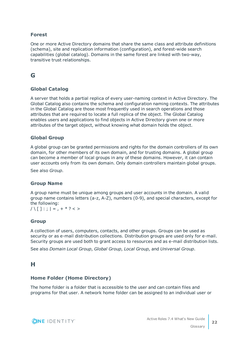#### **Forest**

One or more Active Directory domains that share the same class and attribute definitions (schema), site and replication information (configuration), and forest-wide search capabilities (global catalog). Domains in the same forest are linked with two-way, transitive trust relationships.

### **G**

#### **Global Catalog**

A server that holds a partial replica of every user-naming context in Active Directory. The Global Catalog also contains the schema and configuration naming contexts. The attributes in the Global Catalog are those most frequently used in search operations and those attributes that are required to locate a full replica of the object. The Global Catalog enables users and applications to find objects in Active Directory given one or more attributes of the target object, without knowing what domain holds the object.

#### **Global Group**

A global group can be granted permissions and rights for the domain controllers of its own domain, for other members of its own domain, and for trusting domains. A global group can become a member of local groups in any of these domains. However, it can contain user accounts only from its own domain. Only domain controllers maintain global groups.

See also *Group*.

#### **Group Name**

A group name must be unique among groups and user accounts in the domain. A valid group name contains letters (a-z, A-Z), numbers (0-9), and special characters, except for the following:

 $/ \setminus \lceil \cdot \rceil$ :;  $| = 0, + * ? < 1$ 

#### **Group**

A collection of users, computers, contacts, and other groups. Groups can be used as security or as e-mail distribution collections. Distribution groups are used only for e-mail. Security groups are used both to grant access to resources and as e-mail distribution lists.

See also *Domain Local Group*, *Global Group*, *Local Group*, and *Universal Group*.

### **H**

#### **Home Folder (Home Directory)**

The home folder is a folder that is accessible to the user and can contain files and programs for that user. A network home folder can be assigned to an individual user or

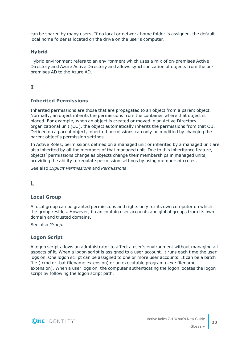can be shared by many users. If no local or network home folder is assigned, the default local home folder is located on the drive on the user's computer.

#### **Hybrid**

Hybrid environment refers to an environment which uses a mix of on-premises Active Directory and Azure Active Directory and allows synchronization of objects from the onpremises AD to the Azure AD.

### **I**

#### **Inherited Permissions**

Inherited permissions are those that are propagated to an object from a parent object. Normally, an object inherits the permissions from the container where that object is placed. For example, when an object is created or moved in an Active Directory organizational unit (OU), the object automatically inherits the permissions from that OU. Defined on a parent object, inherited permissions can only be modified by changing the parent object's permission settings.

In Active Roles, permissions defined on a managed unit or inherited by a managed unit are also inherited by all the members of that managed unit. Due to this inheritance feature, objects' permissions change as objects change their memberships in managed units, providing the ability to regulate permission settings by using membership rules.

See also *Explicit Permissions* and *Permissions*.

### **L**

#### **Local Group**

A local group can be granted permissions and rights only for its own computer on which the group resides. However, it can contain user accounts and global groups from its own domain and trusted domains.

See also *Group*.

#### **Logon Script**

A logon script allows an administrator to affect a user's environment without managing all aspects of it. When a logon script is assigned to a user account, it runs each time the user logs on. One logon script can be assigned to one or more user accounts. It can be a batch file (.cmd or .bat filename extension) or an executable program (.exe filename extension). When a user logs on, the computer authenticating the logon locates the logon script by following the logon script path.

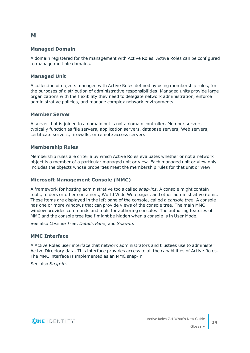#### **Managed Domain**

A domain registered for the management with Active Roles. Active Roles can be configured to manage multiple domains.

#### **Managed Unit**

A collection of objects managed with Active Roles defined by using membership rules, for the purposes of distribution of administrative responsibilities. Managed units provide large organizations with the flexibility they need to delegate network administration, enforce administrative policies, and manage complex network environments.

#### **Member Server**

A server that is joined to a domain but is not a domain controller. Member servers typically function as file servers, application servers, database servers, Web servers, certificate servers, firewalls, or remote access servers.

#### **Membership Rules**

Membership rules are criteria by which Active Roles evaluates whether or not a network object is a member of a particular managed unit or view. Each managed unit or view only includes the objects whose properties meet the membership rules for that unit or view.

#### **Microsoft Management Console (MMC)**

A framework for hosting administrative tools called *snap-ins*. A console might contain tools, folders or other containers, World Wide Web pages, and other administrative items. These items are displayed in the left pane of the console, called a *console tree*. A console has one or more windows that can provide views of the console tree. The main MMC window provides commands and tools for authoring consoles. The authoring features of MMC and the console tree itself might be hidden when a console is in User Mode.

See also *Console Tree*, *Details Pane*, and *Snap-in*.

#### **MMC Interface**

A Active Roles user interface that network administrators and trustees use to administer Active Directory data. This interface provides access to all the capabilities of Active Roles. The MMC interface is implemented as an MMC snap-in.

See also *Snap-in*.



**M**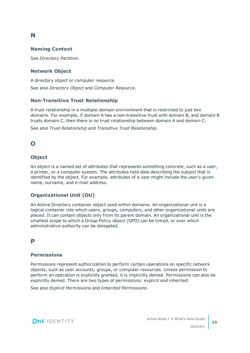### **N**

#### **Naming Context**

See *Directory Partition*.

#### **Network Object**

A directory object or computer resource.

See also *Directory Object* and *Computer Resource*.

#### **Non-Transitive Trust Relationship**

A trust relationship in a multiple-domain environment that is restricted to just two domains. For example, if domain A has a non-transitive trust with domain B, and domain B trusts domain C, then there is no trust relationship between domain A and domain C.

See also *Trust Relationship* and *Transitive Trust Relationship*.

### **O**

#### **Object**

An object is a named set of attributes that represents something concrete, such as a user, a printer, or a computer system. The attributes hold data describing the subject that is identified by the object. For example, attributes of a user might include the user's given name, surname, and e-mail address.

#### **Organizational Unit (OU)**

An Active Directory container object used within domains. An organizational unit is a logical container into which users, groups, computers, and other organizational units are placed. It can contain objects only from its parent domain. An organizational unit is the smallest scope to which a Group Policy object (GPO) can be linked, or over which administrative authority can be delegated.

### **P**

### **Permissions**

Permissions represent authorization to perform certain operations on specific network objects, such as user accounts, groups, or computer resources. Unless permission to perform an operation is explicitly granted, it is implicitly denied. Permissions can also be explicitly denied. There are two types of permissions: explicit and inherited.

See also *Explicit Permissions* and *Inherited Permissions*.

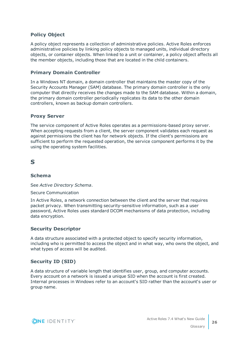#### **Policy Object**

A policy object represents a collection of administrative policies. Active Roles enforces administrative policies by linking policy objects to managed units, individual directory objects, or container objects. When linked to a unit or container, a policy object affects all the member objects, including those that are located in the child containers.

#### **Primary Domain Controller**

In a Windows NT domain, a domain controller that maintains the master copy of the Security Accounts Manager (SAM) database. The primary domain controller is the only computer that directly receives the changes made to the SAM database. Within a domain, the primary domain controller periodically replicates its data to the other domain controllers, known as backup domain controllers.

#### **Proxy Server**

The service component of Active Roles operates as a permissions-based proxy server. When accepting requests from a client, the server component validates each request as against permissions the client has for network objects. If the client's permissions are sufficient to perform the requested operation, the service component performs it by the using the operating system facilities.

### **S**

#### **Schema**

See *Active Directory Schema*.

#### Secure Communication

In Active Roles, a network connection between the client and the server that requires packet privacy. When transmitting security-sensitive information, such as a user password, Active Roles uses standard DCOM mechanisms of data protection, including data encryption.

#### **Security Descriptor**

A data structure associated with a protected object to specify security information, including who is permitted to access the object and in what way, who owns the object, and what types of access will be audited.

#### **Security ID (SID)**

A data structure of variable length that identifies user, group, and computer accounts. Every account on a network is issued a unique SID when the account is first created. Internal processes in Windows refer to an account's SID rather than the account's user or group name.

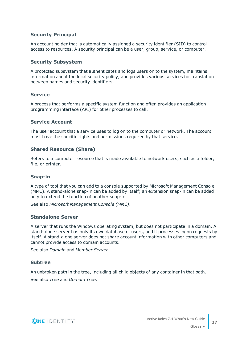#### **Security Principal**

An account holder that is automatically assigned a security identifier (SID) to control access to resources. A security principal can be a user, group, service, or computer.

#### **Security Subsystem**

A protected subsystem that authenticates and logs users on to the system, maintains information about the local security policy, and provides various services for translation between names and security identifiers.

#### **Service**

A process that performs a specific system function and often provides an applicationprogramming interface (API) for other processes to call.

#### **Service Account**

The user account that a service uses to log on to the computer or network. The account must have the specific rights and permissions required by that service.

#### **Shared Resource (Share)**

Refers to a computer resource that is made available to network users, such as a folder, file, or printer.

#### **Snap-in**

A type of tool that you can add to a console supported by Microsoft Management Console (MMC). A stand-alone snap-in can be added by itself; an extension snap-in can be added only to extend the function of another snap-in.

See also *Microsoft Management Console (MMC)*.

#### **Standalone Server**

A server that runs the Windows operating system, but does not participate in a domain. A stand-alone server has only its own database of users, and it processes logon requests by itself. A stand-alone server does not share account information with other computers and cannot provide access to domain accounts.

See also *Domain* and *Member Server*.

#### **Subtree**

An unbroken path in the tree, including all child objects of any container in that path. See also *Tree* and *Domain Tree*.

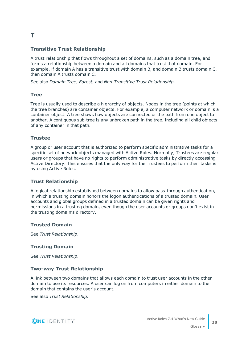### **T**

#### **Transitive Trust Relationship**

A trust relationship that flows throughout a set of domains, such as a domain tree, and forms a relationship between a domain and all domains that trust that domain. For example, if domain A has a transitive trust with domain B, and domain B trusts domain C, then domain A trusts domain C.

See also *Domain Tree*, *Forest*, and *Non-Transitive Trust Relationship*.

#### **Tree**

Tree is usually used to describe a hierarchy of objects. Nodes in the tree (points at which the tree branches) are container objects. For example, a computer network or domain is a container object. A tree shows how objects are connected or the path from one object to another. A contiguous sub-tree is any unbroken path in the tree, including all child objects of any container in that path.

#### **Trustee**

A group or user account that is authorized to perform specific administrative tasks for a specific set of network objects managed with Active Roles. Normally, Trustees are regular users or groups that have no rights to perform administrative tasks by directly accessing Active Directory. This ensures that the only way for the Trustees to perform their tasks is by using Active Roles.

#### **Trust Relationship**

A logical relationship established between domains to allow pass-through authentication, in which a trusting domain honors the logon authentications of a trusted domain. User accounts and global groups defined in a trusted domain can be given rights and permissions in a trusting domain, even though the user accounts or groups don't exist in the trusting domain's directory.

#### **Trusted Domain**

See *Trust Relationship*.

#### **Trusting Domain**

See *Trust Relationship*.

#### **Two-way Trust Relationship**

A link between two domains that allows each domain to trust user accounts in the other domain to use its resources. A user can log on from computers in either domain to the domain that contains the user's account.

See also *Trust Relationship*.

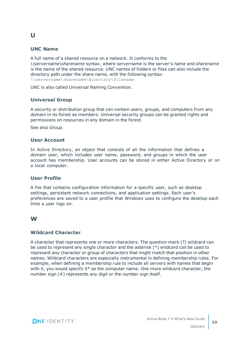#### **UNC Name**

A full name of a shared resource on a network. It conforms to the *\\servername\sharename* syntax, where *servername* is the server's name and *sharename* is the name of the shared resource. UNC names of folders or files can also include the directory path under the share name, with the following syntax: \\servername\sharename\directory\filename

UNC is also called Universal Naming Convention.

#### **Universal Group**

A security or distribution group that can contain users, groups, and computers from any domain in its forest as members. Universal security groups can be granted rights and permissions on resources in any domain in the forest.

See also *Group*.

#### **User Account**

In Active Directory, an object that consists of all the information that defines a domain user, which includes user name, password, and groups in which the user account has membership. User accounts can be stored in either Active Directory or on a local computer.

#### **User Profile**

A file that contains configuration information for a specific user, such as desktop settings, persistent network connections, and application settings. Each user's preferences are saved to a user profile that Windows uses to configure the desktop each time a user logs on.

#### **W**

#### **Wildcard Character**

A character that represents one or more characters. The question mark (?) wildcard can be used to represent any single character and the asterisk (\*) wildcard can be used to represent any character or group of characters that might match that position in other names. Wildcard characters are especially instrumental in defining membership rules. For example, when defining a membership rule to include all servers with names that begin with X, you would specify  $X^*$  as the computer name. One more wildcard character, the number sign (#) represents any digit or the number sign itself.



**U**